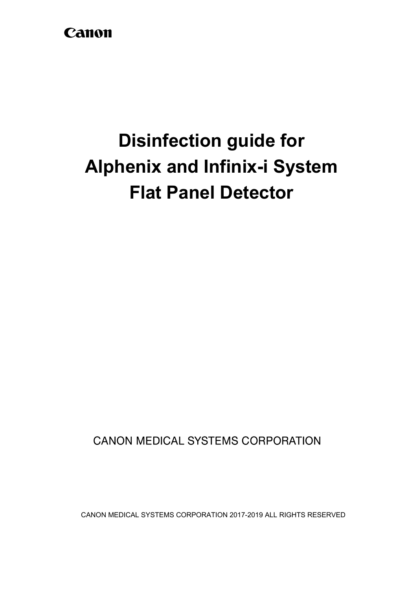## Canon

# **Disinfection guide for Alphenix and Infinix-i System Flat Panel Detector**

**CANON MEDICAL SYSTEMS CORPORATION** 

CANON MEDICAL SYSTEMS CORPORATION 2017-2019 ALL RIGHTS RESERVED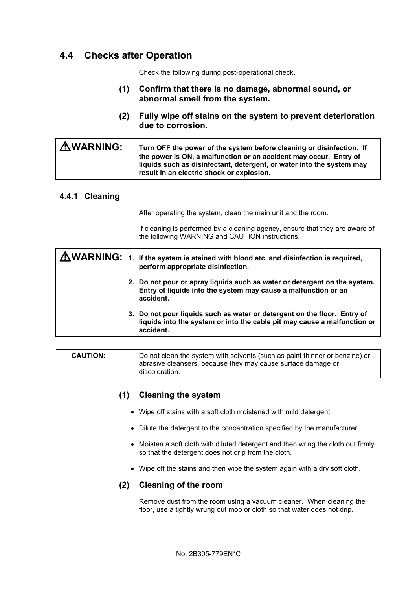### **4.4 Checks after Operation**

Check the following during post-operational check.

- **(1) Confirm that there is no damage, abnormal sound, or abnormal smell from the system.**
- **(2) Fully wipe off stains on the system to prevent deterioration due to corrosion.**

| <b>AWARNING:</b> | Turn OFF the power of the system before cleaning or disinfection. If                                                                                                                    |
|------------------|-----------------------------------------------------------------------------------------------------------------------------------------------------------------------------------------|
|                  | the power is ON, a malfunction or an accident may occur. Entry of<br>liquids such as disinfectant, detergent, or water into the system may<br>result in an electric shock or explosion. |

#### **4.4.1 Cleaning**

After operating the system, clean the main unit and the room.

If cleaning is performed by a cleaning agency, ensure that they are aware of the following WARNING and CAUTION instructions.

|  | MARNING: 1. If the system is stained with blood etc. and disinfection is required,<br>perform appropriate disinfection.                                           |
|--|-------------------------------------------------------------------------------------------------------------------------------------------------------------------|
|  | 2. Do not pour or spray liquids such as water or detergent on the system.<br>Entry of liquids into the system may cause a malfunction or an<br>accident.          |
|  | 3. Do not pour liquids such as water or detergent on the floor. Entry of<br>liquids into the system or into the cable pit may cause a malfunction or<br>accident. |
|  |                                                                                                                                                                   |

**CAUTION:** Do not clean the system with solvents (such as paint thinner or benzine) or abrasive cleansers, because they may cause surface damage or discoloration.

#### **(1) Cleaning the system**

- Wipe off stains with a soft cloth moistened with mild detergent.
- Dilute the detergent to the concentration specified by the manufacturer.
- Moisten a soft cloth with diluted detergent and then wring the cloth out firmly so that the detergent does not drip from the cloth.
- Wipe off the stains and then wipe the system again with a dry soft cloth.

#### **(2) Cleaning of the room**

Remove dust from the room using a vacuum cleaner. When cleaning the floor, use a tightly wrung out mop or cloth so that water does not drip.